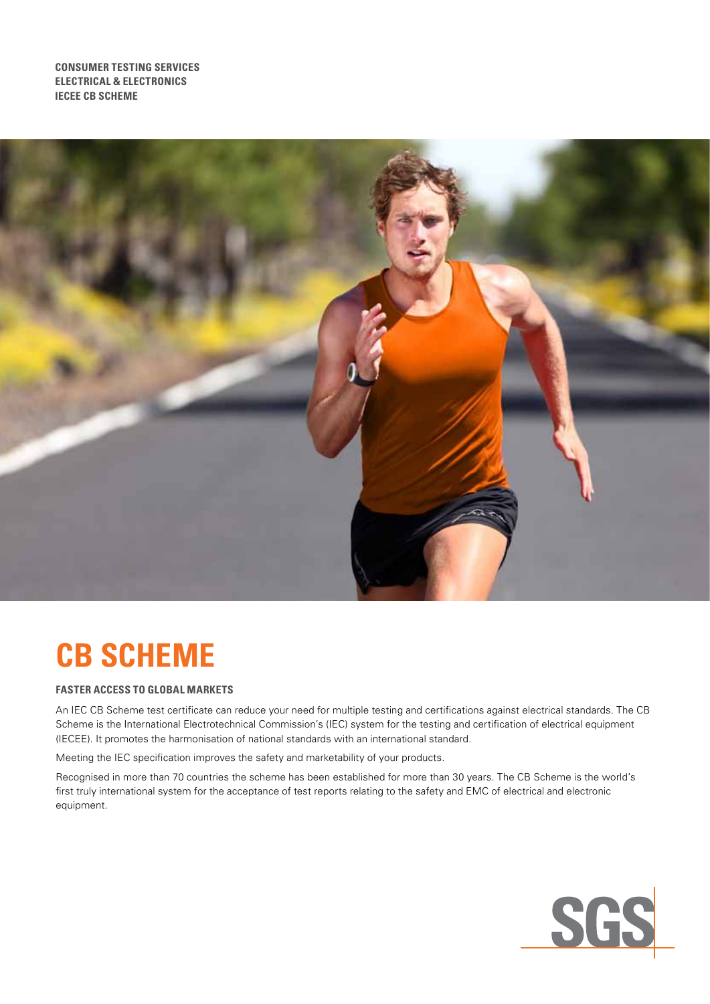**Consumer testing services Electrical & electronics IECEE CB SCHEME**



# **CB SCHEME**

# **FASTER ACCESS TO GLOBAL MARKETS**

An IEC CB Scheme test certificate can reduce your need for multiple testing and certifications against electrical standards. The CB Scheme is the International Electrotechnical Commission's (IEC) system for the testing and certification of electrical equipment (IECEE). It promotes the harmonisation of national standards with an international standard.

Meeting the IEC specification improves the safety and marketability of your products.

Recognised in more than 70 countries the scheme has been established for more than 30 years. The CB Scheme is the world's first truly international system for the acceptance of test reports relating to the safety and EMC of electrical and electronic equipment.